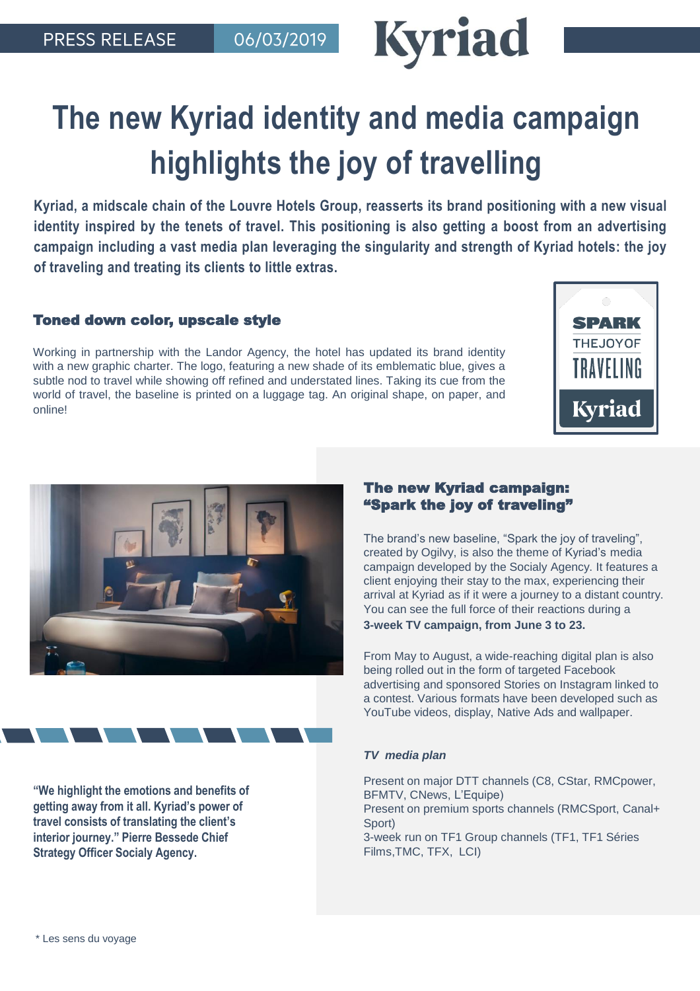

# **The new Kyriad identity and media campaign highlights the joy of travelling**

**Kyriad, a midscale chain of the Louvre Hotels Group, reasserts its brand positioning with a new visual identity inspired by the tenets of travel. This positioning is also getting a boost from an advertising campaign including a vast media plan leveraging the singularity and strength of Kyriad hotels: the joy of traveling and treating its clients to little extras.**

## Toned down color, upscale style

Working in partnership with the Landor Agency, the hotel has updated its brand identity with a new graphic charter. The logo, featuring a new shade of its emblematic blue, gives a subtle nod to travel while showing off refined and understated lines. Taking its cue from the world of travel, the baseline is printed on a luggage tag. An original shape, on paper, and online!





## The new Kyriad campaign: "Spark the joy of traveling"

The brand's new baseline, "Spark the joy of traveling", created by Ogilvy, is also the theme of Kyriad's media campaign developed by the Socialy Agency. It features a client enjoying their stay to the max, experiencing their arrival at Kyriad as if it were a journey to a distant country. You can see the full force of their reactions during a **3-week TV campaign, from June 3 to 23.** 

From May to August, a wide-reaching digital plan is also being rolled out in the form of targeted Facebook advertising and sponsored Stories on Instagram linked to a contest. Various formats have been developed such as YouTube videos, display, Native Ads and wallpaper.

### *TV media plan*

Present on major DTT channels (C8, CStar, RMCpower, BFMTV, CNews, L'Equipe) Present on premium sports channels (RMCSport, Canal+ Sport) 3-week run on TF1 Group channels (TF1, TF1 Séries Films,TMC, TFX, LCI)

**"We highlight the emotions and benefits of getting away from it all. Kyriad's power of travel consists of translating the client's interior journey." Pierre Bessede Chief Strategy Officer Socialy Agency.**